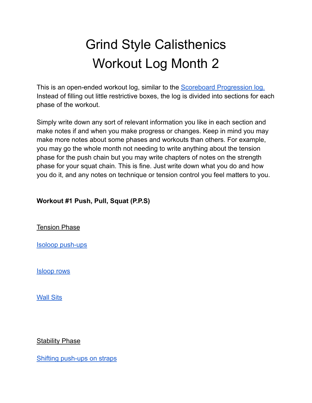# Grind Style Calisthenics Workout Log Month 2

This is an open-ended workout log, similar to the **Scoreboard [Progression](https://cutt.ly/iOYcEIr) log.** Instead of filling out little restrictive boxes, the log is divided into sections for each phase of the workout.

Simply write down any sort of relevant information you like in each section and make notes if and when you make progress or changes. Keep in mind you may make more notes about some phases and workouts than others. For example, you may go the whole month not needing to write anything about the tension phase for the push chain but you may write chapters of notes on the strength phase for your squat chain. This is fine. Just write down what you do and how you do it, and any notes on technique or tension control you feel matters to you.

### **Workout #1 Push, Pull, Squat (P.P.S)**

Tension Phase

Isoloop [push-ups](https://www.youtube.com/watch?v=vy0SZ_9nmSE)

[Isloop](https://www.youtube.com/watch?v=Ww_TRxjN44k&list=PLSRvpXw9nm3r2Moy6_FqiICrlCHe81y_S&index=49) rows

[Wall](https://www.youtube.com/watch?v=ZjK-iUIK33A&list=PLSRvpXw9nm3r2Moy6_FqiICrlCHe81y_S&index=15) Sits

#### **Stability Phase**

Shifting [push-ups](https://www.youtube.com/watch?v=SToLlwAHAek&list=PLSRvpXw9nm3r2Moy6_FqiICrlCHe81y_S&index=30) on straps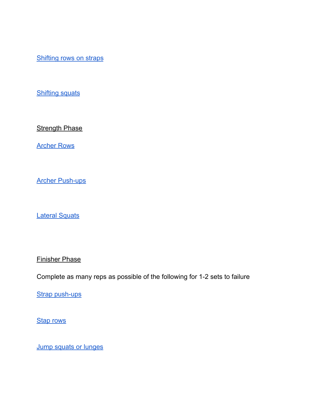[Shifting](https://www.youtube.com/watch?v=G8f4epjz3es&list=PLSRvpXw9nm3r2Moy6_FqiICrlCHe81y_S&index=41) rows on straps

**[Shifting](https://www.youtube.com/watch?v=wDWJ0wdUycs&list=PLSRvpXw9nm3r2Moy6_FqiICrlCHe81y_S&index=17) squats** 

**Strength Phase** 

[Archer](https://www.youtube.com/watch?v=4ku4bizr7r4&list=PLSRvpXw9nm3r2Moy6_FqiICrlCHe81y_S&index=83) Rows

Archer [Push-ups](https://www.youtube.com/watch?v=9Htat4rdJd4&list=PLSRvpXw9nm3r2Moy6_FqiICrlCHe81y_S&index=84)

Lateral [Squats](https://www.youtube.com/watch?v=XjM_1EnV7IM&list=PLSRvpXw9nm3r2Moy6_FqiICrlCHe81y_S&index=85)

Finisher Phase

Complete as many reps as possible of the following for 1-2 sets to failure

Strap [push-ups](https://youtu.be/ghhlO49pd8s)

**Stap [rows](https://youtu.be/T8GDZ_B22BY)** 

Jump squats or [lunges](https://youtu.be/zK8f3aRKm9c)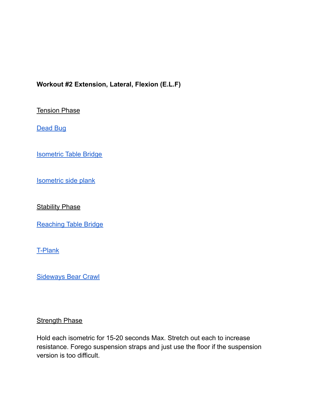## **Workout #2 Extension, Lateral, Flexion (E.L.F)**

**Tension Phase** 

[Dead](https://www.youtube.com/watch?v=ELwmSwO30eQ&list=PLSRvpXw9nm3r2Moy6_FqiICrlCHe81y_S&index=62) Bug

[Isometric](https://www.youtube.com/watch?v=InLwYpbY4Mc&list=PLSRvpXw9nm3r2Moy6_FqiICrlCHe81y_S&index=75) Table Bridge

[Isometric](https://www.youtube.com/watch?v=Srt1Sx26Kr4&list=PLSRvpXw9nm3r2Moy6_FqiICrlCHe81y_S&index=53) side plank

**Stability Phase** 

[Reaching](https://www.youtube.com/playlist?list=PLSRvpXw9nm3r2Moy6_FqiICrlCHe81y_S) Table Bridge

[T-Plank](https://www.youtube.com/watch?v=YroexU5ZGCg&list=PLSRvpXw9nm3r2Moy6_FqiICrlCHe81y_S&index=5)

[Sideways](https://www.youtube.com/watch?v=MCgNuMhA0O0&list=PLSRvpXw9nm3r2Moy6_FqiICrlCHe81y_S&index=63) Bear Crawl

#### **Strength Phase**

Hold each isometric for 15-20 seconds Max. Stretch out each to increase resistance. Forego suspension straps and just use the floor if the suspension version is too difficult.